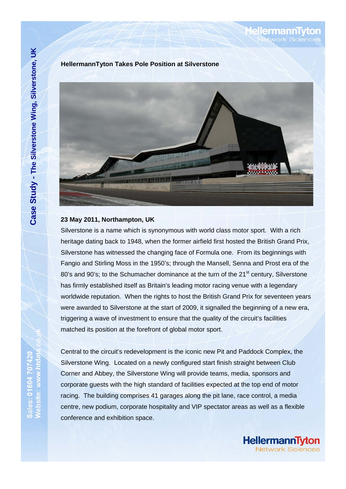**HellermannTyton Takes Pole Position at Silverstone** 



## **23 May 2011, Northampton, UK**

Silverstone is a name which is synonymous with world class motor sport. With a rich heritage dating back to 1948, when the former airfield first hosted the British Grand Prix, Silverstone has witnessed the changing face of Formula one. From its beginnings with Fangio and Stirling Moss in the 1950's; through the Mansell, Senna and Prost era of the 80's and 90's; to the Schumacher dominance at the turn of the 21<sup>st</sup> century, Silverstone has firmly established itself as Britain's leading motor racing venue with a legendary worldwide reputation. When the rights to host the British Grand Prix for seventeen years were awarded to Silverstone at the start of 2009, it signalled the beginning of a new era, triggering a wave of investment to ensure that the quality of the circuit's facilities matched its position at the forefront of global motor sport.

Central to the circuit's redevelopment is the iconic new Pit and Paddock Complex, the Silverstone Wing. Located on a newly configured start finish straight between Club Corner and Abbey, the Silverstone Wing will provide teams, media, sponsors and corporate guests with the high standard of facilities expected at the top end of motor racing. The building comprises 41 garages along the pit lane, race control, a media centre, new podium, corporate hospitality and VIP spectator areas as well as a flexible conference and exhibition space.

**HellermannTyton letwork Sciences** 

ellermannT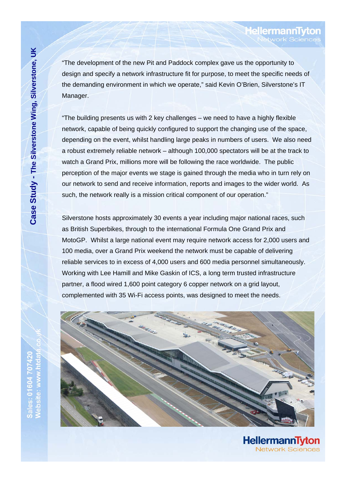"The development of the new Pit and Paddock complex gave us the opportunity to design and specify a network infrastructure fit for purpose, to meet the specific needs of the demanding environment in which we operate," said Kevin O'Brien, Silverstone's IT Manager.

"The building presents us with 2 key challenges – we need to have a highly flexible network, capable of being quickly configured to support the changing use of the space, depending on the event, whilst handling large peaks in numbers of users. We also need a robust extremely reliable network – although 100,000 spectators will be at the track to watch a Grand Prix, millions more will be following the race worldwide. The public perception of the major events we stage is gained through the media who in turn rely on our network to send and receive information, reports and images to the wider world. As such, the network really is a mission critical component of our operation."

Silverstone hosts approximately 30 events a year including major national races, such as British Superbikes, through to the international Formula One Grand Prix and MotoGP. Whilst a large national event may require network access for 2,000 users and 100 media, over a Grand Prix weekend the network must be capable of delivering reliable services to in excess of 4,000 users and 600 media personnel simultaneously. Working with Lee Hamill and Mike Gaskin of ICS, a long term trusted infrastructure partner, a flood wired 1,600 point category 6 copper network on a grid layout, complemented with 35 Wi-Fi access points, was designed to meet the needs.



HellermannTyton **Network Sciences** 

**ellermannT**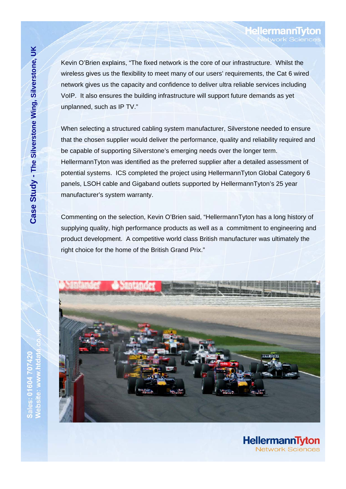Sales: 01604 70742

Kevin O'Brien explains, "The fixed network is the core of our infrastructure. Whilst the wireless gives us the flexibility to meet many of our users' requirements, the Cat 6 wired network gives us the capacity and confidence to deliver ultra reliable services including VoIP. It also ensures the building infrastructure will support future demands as yet unplanned, such as IP TV."

**HellermannTy** 

**HellermannTyton** 

**Jetwork Sciences** 

When selecting a structured cabling system manufacturer, Silverstone needed to ensure that the chosen supplier would deliver the performance, quality and reliability required and be capable of supporting Silverstone's emerging needs over the longer term. HellermannTyton was identified as the preferred supplier after a detailed assessment of potential systems. ICS completed the project using HellermannTyton Global Category 6 panels, LSOH cable and Gigaband outlets supported by HellermannTyton's 25 year manufacturer's system warranty.

Commenting on the selection, Kevin O'Brien said, "HellermannTyton has a long history of supplying quality, high performance products as well as a commitment to engineering and product development. A competitive world class British manufacturer was ultimately the right choice for the home of the British Grand Prix."